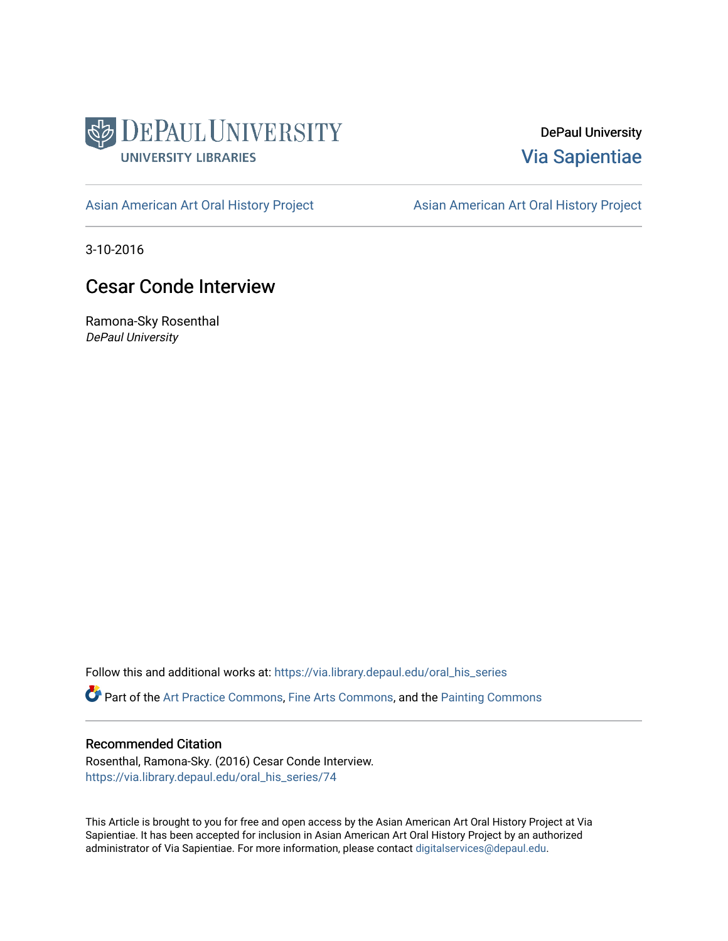

DePaul University [Via Sapientiae](https://via.library.depaul.edu/) 

[Asian American Art Oral History Project](https://via.library.depaul.edu/oral_his_series) **Asian American Art Oral History Project** 

3-10-2016

# Cesar Conde Interview

Ramona-Sky Rosenthal DePaul University

Follow this and additional works at: [https://via.library.depaul.edu/oral\\_his\\_series](https://via.library.depaul.edu/oral_his_series?utm_source=via.library.depaul.edu%2Foral_his_series%2F74&utm_medium=PDF&utm_campaign=PDFCoverPages) 

Part of the [Art Practice Commons](http://network.bepress.com/hgg/discipline/509?utm_source=via.library.depaul.edu%2Foral_his_series%2F74&utm_medium=PDF&utm_campaign=PDFCoverPages), [Fine Arts Commons,](http://network.bepress.com/hgg/discipline/1141?utm_source=via.library.depaul.edu%2Foral_his_series%2F74&utm_medium=PDF&utm_campaign=PDFCoverPages) and the [Painting Commons](http://network.bepress.com/hgg/discipline/1339?utm_source=via.library.depaul.edu%2Foral_his_series%2F74&utm_medium=PDF&utm_campaign=PDFCoverPages) 

#### Recommended Citation

Rosenthal, Ramona-Sky. (2016) Cesar Conde Interview. [https://via.library.depaul.edu/oral\\_his\\_series/74](https://via.library.depaul.edu/oral_his_series/74?utm_source=via.library.depaul.edu%2Foral_his_series%2F74&utm_medium=PDF&utm_campaign=PDFCoverPages)

This Article is brought to you for free and open access by the Asian American Art Oral History Project at Via Sapientiae. It has been accepted for inclusion in Asian American Art Oral History Project by an authorized administrator of Via Sapientiae. For more information, please contact [digitalservices@depaul.edu.](mailto:digitalservices@depaul.edu)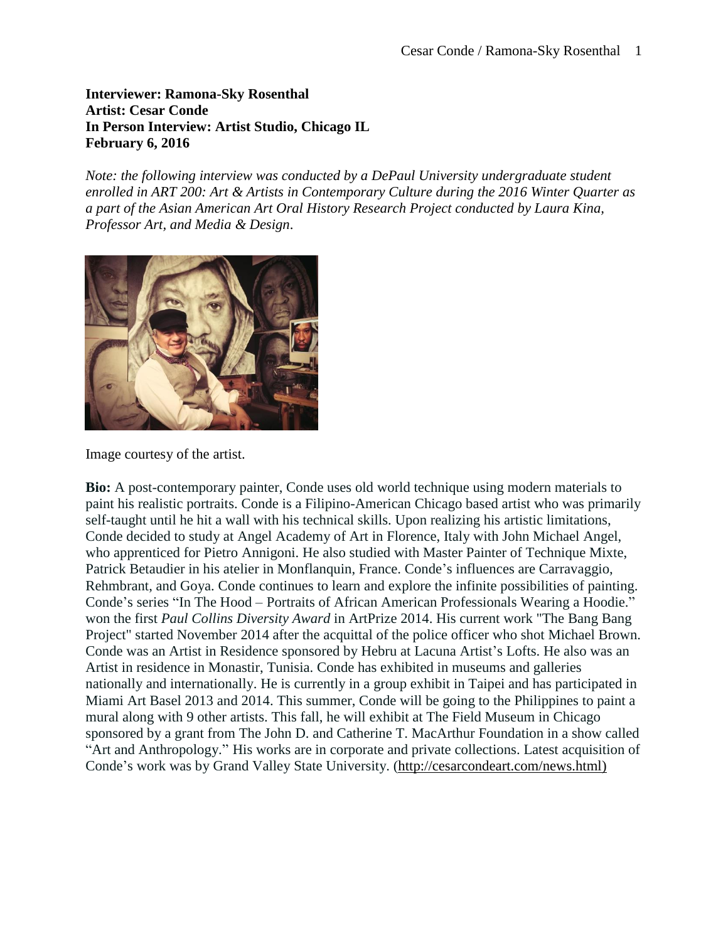### **Interviewer: Ramona-Sky Rosenthal Artist: Cesar Conde In Person Interview: Artist Studio, Chicago IL February 6, 2016**

*Note: the following interview was conducted by a DePaul University undergraduate student enrolled in ART 200: Art & Artists in Contemporary Culture during the 2016 Winter Quarter as a part of the Asian American Art Oral History Research Project conducted by Laura Kina, Professor Art, and Media & Design*.



Image courtesy of the artist.

**Bio:** A post-contemporary painter, Conde uses old world technique using modern materials to paint his realistic portraits. Conde is a Filipino-American Chicago based artist who was primarily self-taught until he hit a wall with his technical skills. Upon realizing his artistic limitations, Conde decided to study at Angel Academy of Art in Florence, Italy with John Michael Angel, who apprenticed for Pietro Annigoni. He also studied with Master Painter of Technique Mixte, Patrick Betaudier in his atelier in Monflanquin, France. Conde's influences are Carravaggio, Rehmbrant, and Goya. Conde continues to learn and explore the infinite possibilities of painting. Conde's series "In The Hood – Portraits of African American Professionals Wearing a Hoodie." won the first *Paul Collins Diversity Award* in ArtPrize 2014. His current work "The Bang Bang Project" started November 2014 after the acquittal of the police officer who shot Michael Brown. Conde was an Artist in Residence sponsored by Hebru at Lacuna Artist's Lofts. He also was an Artist in residence in Monastir, Tunisia. Conde has exhibited in museums and galleries nationally and internationally. He is currently in a group exhibit in Taipei and has participated in Miami Art Basel 2013 and 2014. This summer, Conde will be going to the Philippines to paint a mural along with 9 other artists. This fall, he will exhibit at The Field Museum in Chicago sponsored by a grant from The John D. and Catherine T. MacArthur Foundation in a show called "Art and Anthropology." His works are in corporate and private collections. Latest acquisition of Conde's work was by Grand Valley State University. [\(http://cesarcondeart.com/news.html\)](http://cesarcondeart.com/news.html)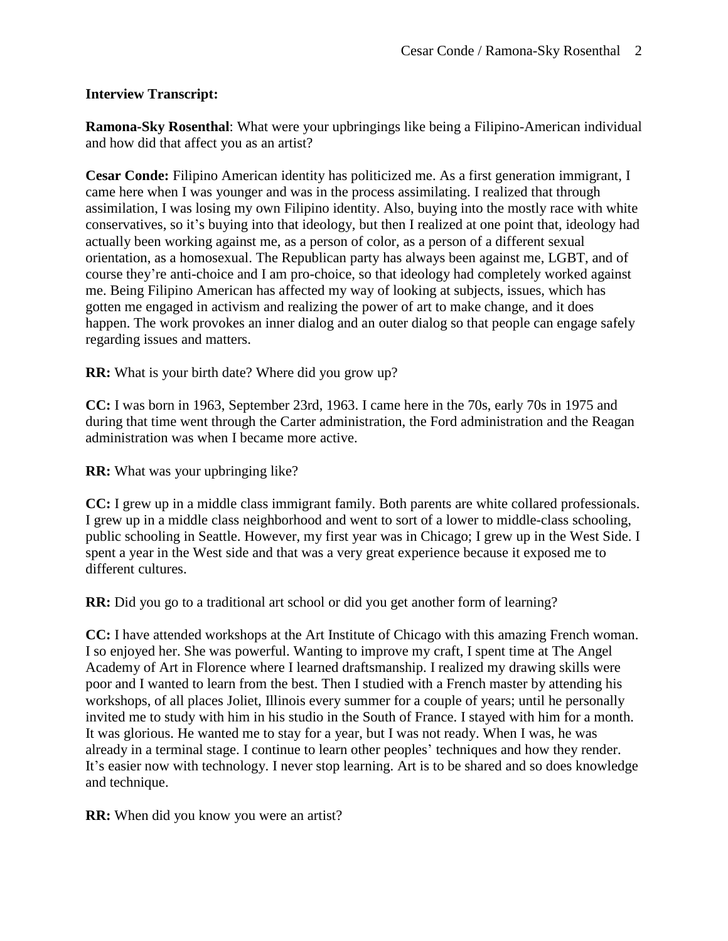### **Interview Transcript:**

**Ramona-Sky Rosenthal**: What were your upbringings like being a Filipino-American individual and how did that affect you as an artist?

**Cesar Conde:** Filipino American identity has politicized me. As a first generation immigrant, I came here when I was younger and was in the process assimilating. I realized that through assimilation, I was losing my own Filipino identity. Also, buying into the mostly race with white conservatives, so it's buying into that ideology, but then I realized at one point that, ideology had actually been working against me, as a person of color, as a person of a different sexual orientation, as a homosexual. The Republican party has always been against me, LGBT, and of course they're anti-choice and I am pro-choice, so that ideology had completely worked against me. Being Filipino American has affected my way of looking at subjects, issues, which has gotten me engaged in activism and realizing the power of art to make change, and it does happen. The work provokes an inner dialog and an outer dialog so that people can engage safely regarding issues and matters.

**RR:** What is your birth date? Where did you grow up?

**CC:** I was born in 1963, September 23rd, 1963. I came here in the 70s, early 70s in 1975 and during that time went through the Carter administration, the Ford administration and the Reagan administration was when I became more active.

**RR:** What was your upbringing like?

**CC:** I grew up in a middle class immigrant family. Both parents are white collared professionals. I grew up in a middle class neighborhood and went to sort of a lower to middle-class schooling, public schooling in Seattle. However, my first year was in Chicago; I grew up in the West Side. I spent a year in the West side and that was a very great experience because it exposed me to different cultures.

**RR:** Did you go to a traditional art school or did you get another form of learning?

**CC:** I have attended workshops at the Art Institute of Chicago with this amazing French woman. I so enjoyed her. She was powerful. Wanting to improve my craft, I spent time at The Angel Academy of Art in Florence where I learned draftsmanship. I realized my drawing skills were poor and I wanted to learn from the best. Then I studied with a French master by attending his workshops, of all places Joliet, Illinois every summer for a couple of years; until he personally invited me to study with him in his studio in the South of France. I stayed with him for a month. It was glorious. He wanted me to stay for a year, but I was not ready. When I was, he was already in a terminal stage. I continue to learn other peoples' techniques and how they render. It's easier now with technology. I never stop learning. Art is to be shared and so does knowledge and technique.

**RR:** When did you know you were an artist?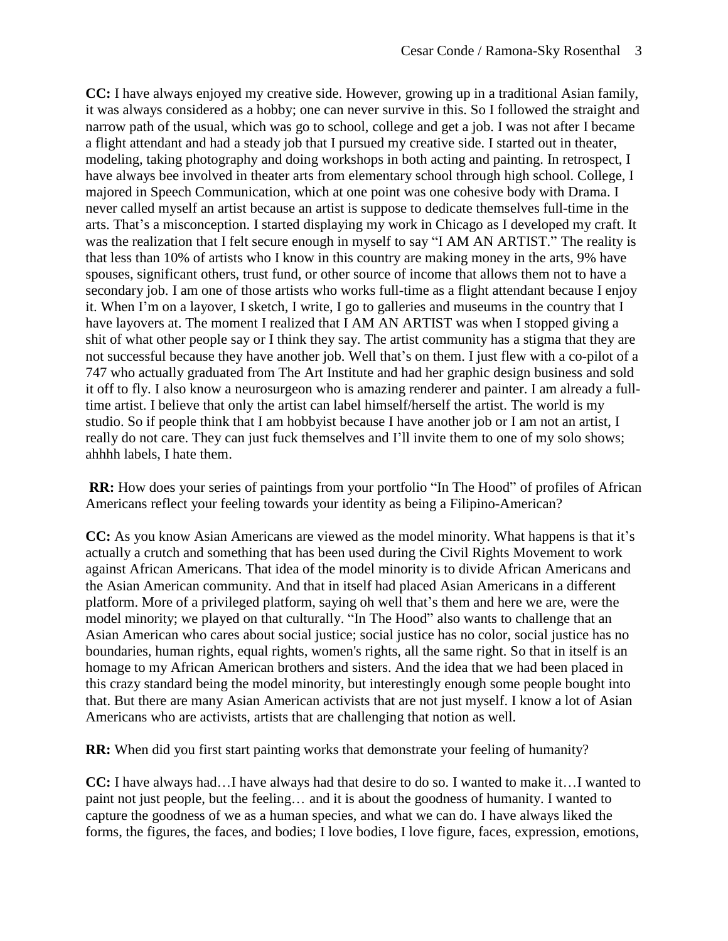**CC:** I have always enjoyed my creative side. However, growing up in a traditional Asian family, it was always considered as a hobby; one can never survive in this. So I followed the straight and narrow path of the usual, which was go to school, college and get a job. I was not after I became a flight attendant and had a steady job that I pursued my creative side. I started out in theater, modeling, taking photography and doing workshops in both acting and painting. In retrospect, I have always bee involved in theater arts from elementary school through high school. College, I majored in Speech Communication, which at one point was one cohesive body with Drama. I never called myself an artist because an artist is suppose to dedicate themselves full-time in the arts. That's a misconception. I started displaying my work in Chicago as I developed my craft. It was the realization that I felt secure enough in myself to say "I AM AN ARTIST." The reality is that less than 10% of artists who I know in this country are making money in the arts, 9% have spouses, significant others, trust fund, or other source of income that allows them not to have a secondary job. I am one of those artists who works full-time as a flight attendant because I enjoy it. When I'm on a layover, I sketch, I write, I go to galleries and museums in the country that I have layovers at. The moment I realized that I AM AN ARTIST was when I stopped giving a shit of what other people say or I think they say. The artist community has a stigma that they are not successful because they have another job. Well that's on them. I just flew with a co-pilot of a 747 who actually graduated from The Art Institute and had her graphic design business and sold it off to fly. I also know a neurosurgeon who is amazing renderer and painter. I am already a fulltime artist. I believe that only the artist can label himself/herself the artist. The world is my studio. So if people think that I am hobbyist because I have another job or I am not an artist, I really do not care. They can just fuck themselves and I'll invite them to one of my solo shows; ahhhh labels, I hate them.

**RR:** How does your series of paintings from your portfolio "In The Hood" of profiles of African Americans reflect your feeling towards your identity as being a Filipino-American?

**CC:** As you know Asian Americans are viewed as the model minority. What happens is that it's actually a crutch and something that has been used during the Civil Rights Movement to work against African Americans. That idea of the model minority is to divide African Americans and the Asian American community. And that in itself had placed Asian Americans in a different platform. More of a privileged platform, saying oh well that's them and here we are, were the model minority; we played on that culturally. "In The Hood" also wants to challenge that an Asian American who cares about social justice; social justice has no color, social justice has no boundaries, human rights, equal rights, women's rights, all the same right. So that in itself is an homage to my African American brothers and sisters. And the idea that we had been placed in this crazy standard being the model minority, but interestingly enough some people bought into that. But there are many Asian American activists that are not just myself. I know a lot of Asian Americans who are activists, artists that are challenging that notion as well.

**RR:** When did you first start painting works that demonstrate your feeling of humanity?

**CC:** I have always had…I have always had that desire to do so. I wanted to make it…I wanted to paint not just people, but the feeling… and it is about the goodness of humanity. I wanted to capture the goodness of we as a human species, and what we can do. I have always liked the forms, the figures, the faces, and bodies; I love bodies, I love figure, faces, expression, emotions,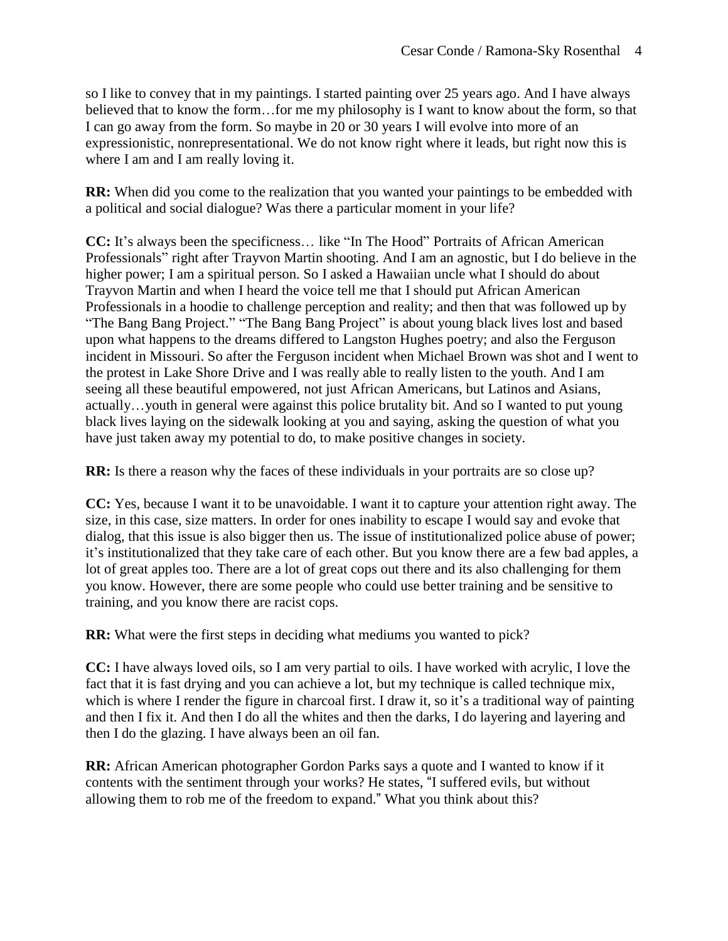so I like to convey that in my paintings. I started painting over 25 years ago. And I have always believed that to know the form…for me my philosophy is I want to know about the form, so that I can go away from the form. So maybe in 20 or 30 years I will evolve into more of an expressionistic, nonrepresentational. We do not know right where it leads, but right now this is where I am and I am really loving it.

**RR:** When did you come to the realization that you wanted your paintings to be embedded with a political and social dialogue? Was there a particular moment in your life?

**CC:** It's always been the specificness… like "In The Hood" Portraits of African American Professionals" right after Trayvon Martin shooting. And I am an agnostic, but I do believe in the higher power; I am a spiritual person. So I asked a Hawaiian uncle what I should do about Trayvon Martin and when I heard the voice tell me that I should put African American Professionals in a hoodie to challenge perception and reality; and then that was followed up by "The Bang Bang Project." "The Bang Bang Project" is about young black lives lost and based upon what happens to the dreams differed to Langston Hughes poetry; and also the Ferguson incident in Missouri. So after the Ferguson incident when Michael Brown was shot and I went to the protest in Lake Shore Drive and I was really able to really listen to the youth. And I am seeing all these beautiful empowered, not just African Americans, but Latinos and Asians, actually…youth in general were against this police brutality bit. And so I wanted to put young black lives laying on the sidewalk looking at you and saying, asking the question of what you have just taken away my potential to do, to make positive changes in society.

**RR:** Is there a reason why the faces of these individuals in your portraits are so close up?

**CC:** Yes, because I want it to be unavoidable. I want it to capture your attention right away. The size, in this case, size matters. In order for ones inability to escape I would say and evoke that dialog, that this issue is also bigger then us. The issue of institutionalized police abuse of power; it's institutionalized that they take care of each other. But you know there are a few bad apples, a lot of great apples too. There are a lot of great cops out there and its also challenging for them you know. However, there are some people who could use better training and be sensitive to training, and you know there are racist cops.

**RR:** What were the first steps in deciding what mediums you wanted to pick?

**CC:** I have always loved oils, so I am very partial to oils. I have worked with acrylic, I love the fact that it is fast drying and you can achieve a lot, but my technique is called technique mix, which is where I render the figure in charcoal first. I draw it, so it's a traditional way of painting and then I fix it. And then I do all the whites and then the darks, I do layering and layering and then I do the glazing. I have always been an oil fan.

**RR:** African American photographer Gordon Parks says a quote and I wanted to know if it contents with the sentiment through your works? He states, "I suffered evils, but without allowing them to rob me of the freedom to expand." What you think about this?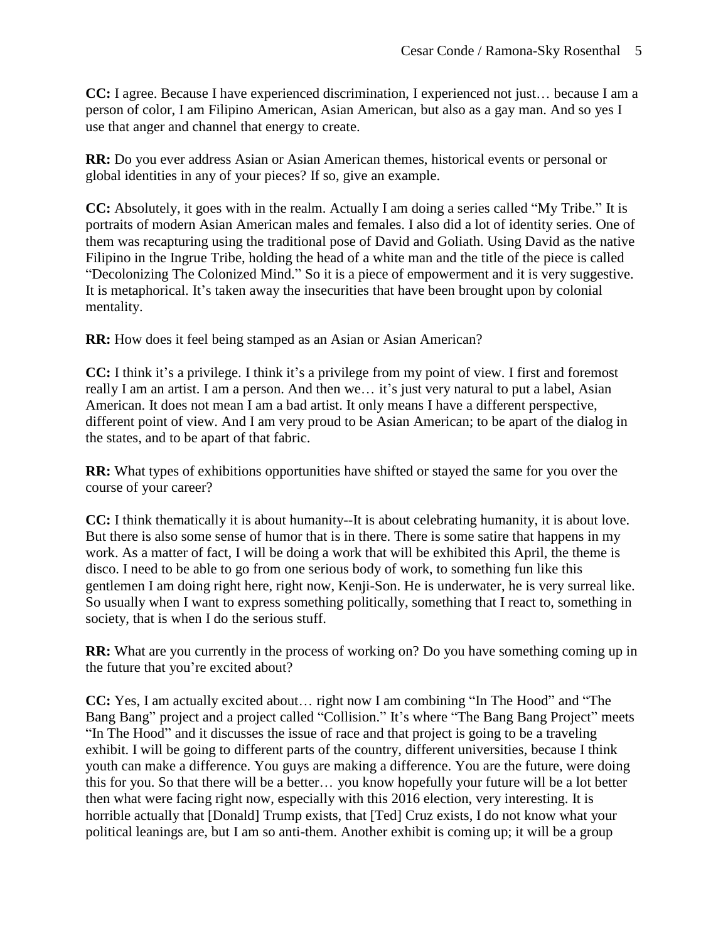**CC:** I agree. Because I have experienced discrimination, I experienced not just… because I am a person of color, I am Filipino American, Asian American, but also as a gay man. And so yes I use that anger and channel that energy to create.

**RR:** Do you ever address Asian or Asian American themes, historical events or personal or global identities in any of your pieces? If so, give an example.

**CC:** Absolutely, it goes with in the realm. Actually I am doing a series called "My Tribe." It is portraits of modern Asian American males and females. I also did a lot of identity series. One of them was recapturing using the traditional pose of David and Goliath. Using David as the native Filipino in the Ingrue Tribe, holding the head of a white man and the title of the piece is called "Decolonizing The Colonized Mind." So it is a piece of empowerment and it is very suggestive. It is metaphorical. It's taken away the insecurities that have been brought upon by colonial mentality.

**RR:** How does it feel being stamped as an Asian or Asian American?

**CC:** I think it's a privilege. I think it's a privilege from my point of view. I first and foremost really I am an artist. I am a person. And then we… it's just very natural to put a label, Asian American. It does not mean I am a bad artist. It only means I have a different perspective, different point of view. And I am very proud to be Asian American; to be apart of the dialog in the states, and to be apart of that fabric.

**RR:** What types of exhibitions opportunities have shifted or stayed the same for you over the course of your career?

**CC:** I think thematically it is about humanity--It is about celebrating humanity, it is about love. But there is also some sense of humor that is in there. There is some satire that happens in my work. As a matter of fact, I will be doing a work that will be exhibited this April, the theme is disco. I need to be able to go from one serious body of work, to something fun like this gentlemen I am doing right here, right now, Kenji-Son. He is underwater, he is very surreal like. So usually when I want to express something politically, something that I react to, something in society, that is when I do the serious stuff.

**RR:** What are you currently in the process of working on? Do you have something coming up in the future that you're excited about?

**CC:** Yes, I am actually excited about… right now I am combining "In The Hood" and "The Bang Bang" project and a project called "Collision." It's where "The Bang Bang Project" meets "In The Hood" and it discusses the issue of race and that project is going to be a traveling exhibit. I will be going to different parts of the country, different universities, because I think youth can make a difference. You guys are making a difference. You are the future, were doing this for you. So that there will be a better… you know hopefully your future will be a lot better then what were facing right now, especially with this 2016 election, very interesting. It is horrible actually that [Donald] Trump exists, that [Ted] Cruz exists, I do not know what your political leanings are, but I am so anti-them. Another exhibit is coming up; it will be a group